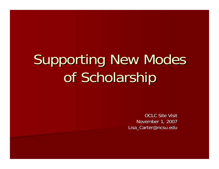# Supporting New Modes of Scholarship

OCLC Site Visit November 1, 2007 Lisa Carter@ncsu.edu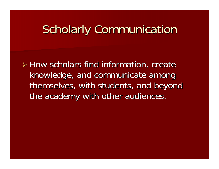### **Scholarly Communication**

 $\triangleright$  How scholars find information, create knowledge, and communicate among themselves, with students, and beyond the academy with other audiences.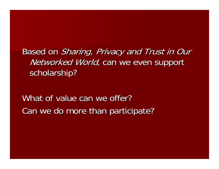Based on *Sharing, Privacy and Trust in Our* Networked World, can we even support scholarship?

What of value can we offer? Can we do more than participate?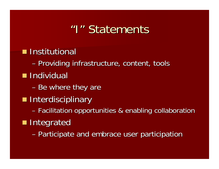### "I" Statements

#### **Institutional**

–– Providing infrastructure, content, tools

#### **Individual**

- –- Be where they are
- **Interdisciplinary** 
	- –– Facilitation opportunities & enabling collaboration

#### **Integrated**

–– Participate and embrace user participation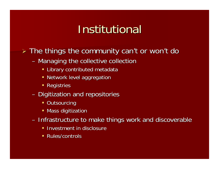### **Institutional**

- $\triangleright$  The things the community can't or won't do
	- $-$  Managing the collective collection
		- $\blacksquare$ Library contributed metadata
		- $\blacksquare$ Network level aggregation
		- **Registries**
	- Digitization and repositories
		- **Outsourcing**
		- $\blacksquare$ **Mass digitization**
	- Infrastructure to make things work and discoverable
		- **Investment in disclosure**
		- $\blacksquare$ Rules/controls Rules/controls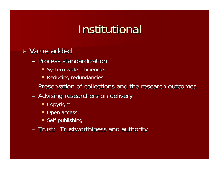### **Institutional**

#### $\triangleright$  Value added

- Process standardization Process standardization
	- System wide efficiencies
	- $\blacksquare$ Reducing redundancies
- Preservation of collections and the research outcomes
- –– Advising researchers on delivery
	- **Copyright**
	- $\blacksquare$ Open access
	- Self publishing
- Trust: Trustworthiness and authority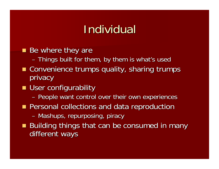### **Individual**

- **Be where they are** 
	- – $-$  Things built for them, by them is what's usec
- Convenience trumps quality, sharing trumps privacy
- **User configurability** 
	- –– People want control over their own experiences
- **Personal collections and data reproduction** 
	- –– Mashups, repurposing, piracy
- **Building things that can be consumed in many** different ways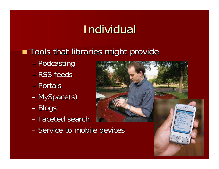## **Individual**

#### **Tools that libraries might provide**

- –– Podcasting
- RSS feeds
- Portals
- –– MySpace(s)
- –– Blogs
- Faceted search
- Service to mobile devices

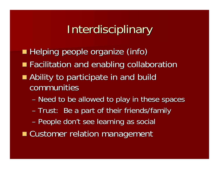### Interdisciplinary

- Helping people organize (info)
- Facilitation and enabling collaboration Facilitation and enabling collaboration
- **Ability to participate in and build** communities
	- –– Need to be allowed to play in these spaces
	- –- Trust: Be a part of their friends/family
	- –– People don't see learning as social
- **Example 21 Customer relation management**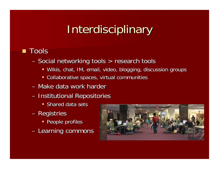# Interdisciplinary

#### ■ Tools

- Social networking tools > research tools
	- Wikis, chat, IM, email, video, blogging, discussion groups
	- Collaborative spaces, virtual communities
- Make data work harder
- –– Institutional Repositories
	- Shared data sets
- –– Registries
	- **People profiles**
- –– Learning commons

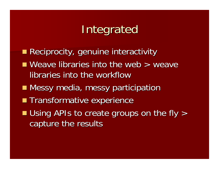### Integrated

- **Reciprocity, genuine interactivity**
- $\blacksquare$  Weave libraries into the web  $>$  weave libraries into the workflow
- **Messy media, messy participation**
- **Transformative experience**
- Using APIs to create groups on the fly > capture the results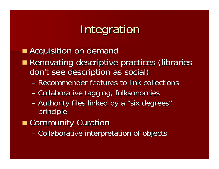# Integration

- **Acquisition on demand**
- **Renovating descriptive practices (libraries** don't see description as social)
	- Recommender features to link collections
	- –– Collaborative tagging, folksonomies
	- –– Authority files linked by a "six degrees" principle
- **Example Community Curation** 
	- –– Collaborative interpretation of objects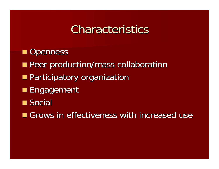### Characteristics

- **Openness**
- **Peer production/mass collaboration**
- **Participatory organization**
- **Engagement**
- Social
- Grows in effectiveness with increased use Grows in effectiveness with increased use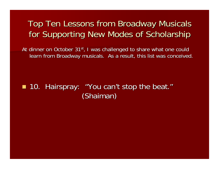At dinner on October 31st, I was challenged to share what one could , learn from Broadway musicals. As a result, this list was conceived.

#### ■ 10. Hairspray: "You can't stop the beat." (Shaiman) (Shaiman)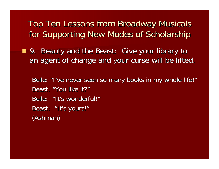- 9. Beauty and the Beast: Give your library to an agent of change and your curse will be lifted.
	- Belle: "I've never seen so many books in my whole life!" Beast: "You like it?"
	- Belle: "It's wonderful!"
	- Beast: "It's yours!"
	- (Ashman) (Ashman)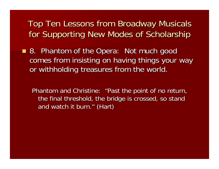- 8. Phantom of the Opera: Not much good comes from insisting on having things your way or withholding treasures from the world.
	- Phantom and Christine: "Past the point of no return, the final threshold, the bridge is crossed, so stand and watch it burn. " (Hart)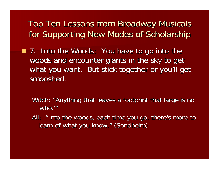■ 7. Into the Woods: You have to go into the woods and encounter giants in the sky to get what you want. But stick together or you'll get smooshed.

Witch: "Anything that leaves a footprint that large is no 'who.' "

All: "Into the woods, each time you go, there's more to learn of what you know." (Sondheim)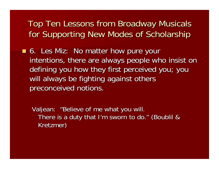■ 6. Les Miz: No matter how pure your intentions, there are always people who insist on defining you how they first perceived you; you will always be fighting against others preconceived notions. preconceived notions.

Valjean: "Believe of me what you will. There is a duty that I'm sworn to do." (Boublil & Kretzmer) Kretzmer)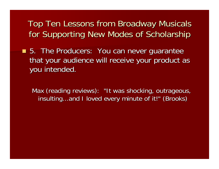■ 5. The Producers: You can never guarantee that your audience will receive your product as you intended. you intended.

Max (reading reviews): "It was shocking, outrageous, insulting...and I loved every minute of it!" (Brooks)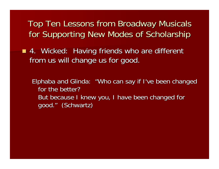■ 4. Wicked: Having friends who are different from us will change us for good.

Elphaba and Glinda: "Who can say if I've been changed for the better? But because I knew you, I have been changed for good. " (Schwartz) (Schwartz)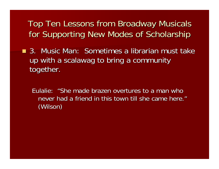- $\blacksquare$ 3. Music Man: Sometimes a librarian must take up with a scalawag to bring a community up with a scalawag to bring a community together.
	- Eulalie: "She made brazen overtures to a man who never had a friend in this town till she came here." (Wilson) (Wilson)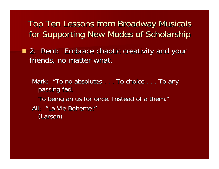**2. Rent: Embrace chaotic creativity and your** friends, no matter what.

Mark: "To no absolutes  $\dots$  . To choice  $\dots$  . To any  $\,$ passing fad.

To being an us for once. Instead of a them."

All: "La Vie Boheme!"

(Larson) (Larson)